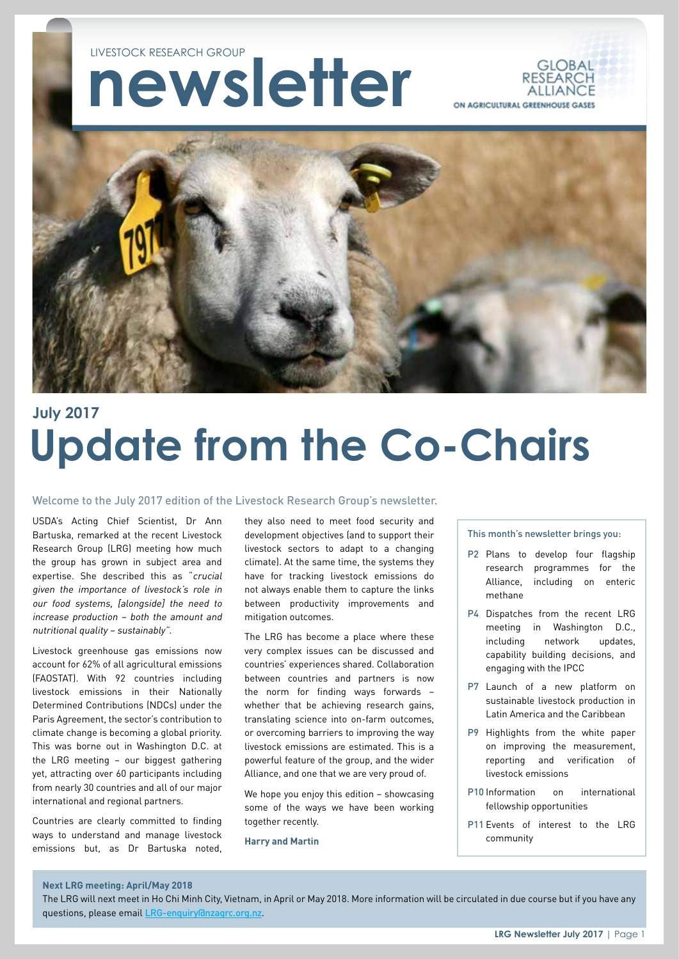# **newsletter** LIVESTOCK RESEARCH GROUP





## **Update from the Co-Chairs July 2017**

#### Welcome to the July 2017 edition of the Livestock Research Group's newsletter.

USDA's Acting Chief Scientist, Dr Ann Bartuska, remarked at the recent Livestock Research Group (LRG) meeting how much the group has grown in subject area and expertise. She described this as "crucial given the importance of livestock's role in our food systems, [alongside] the need to increase production – both the amount and nutritional quality – sustainably".

Livestock greenhouse gas emissions now account for 62% of all agricultural emissions (FAOSTAT). With 92 countries including livestock emissions in their Nationally Determined Contributions (NDCs) under the Paris Agreement, the sector's contribution to climate change is becoming a global priority. This was borne out in Washington D.C. at the LRG meeting – our biggest gathering yet, attracting over 60 participants including from nearly 30 countries and all of our major international and regional partners.

Countries are clearly committed to finding ways to understand and manage livestock emissions but, as Dr Bartuska noted, they also need to meet food security and development objectives (and to support their livestock sectors to adapt to a changing climate). At the same time, the systems they have for tracking livestock emissions do not always enable them to capture the links between productivity improvements and mitigation outcomes.

The LRG has become a place where these very complex issues can be discussed and countries' experiences shared. Collaboration between countries and partners is now the norm for finding ways forwards – whether that be achieving research gains, translating science into on-farm outcomes, or overcoming barriers to improving the way livestock emissions are estimated. This is a powerful feature of the group, and the wider Alliance, and one that we are very proud of.

We hope you enjoy this edition - showcasing some of the ways we have been working together recently.

**Harry and Martin**

This month's newsletter brings you:

- P2 Plans to develop four flagship research programmes for the Alliance, including on enteric methane
- P4 Dispatches from the recent LRG meeting in Washington D.C., including network updates, capability building decisions, and engaging with the IPCC
- P7 Launch of a new platform on sustainable livestock production in Latin America and the Caribbean
- P9 Highlights from the white paper on improving the measurement, reporting and verification of livestock emissions
- P10 Information on international fellowship opportunities
- P11 Events of interest to the LRG community

#### **Next LRG meeting: April/May 2018**

The LRG will next meet in Ho Chi Minh City, Vietnam, in April or May 2018. More information will be circulated in due course but if you have any questions, please email [LRG-enquiry@nzagrc.org.nz](mailto:LRG-enquiry%40nzagrc.org.nz?subject=).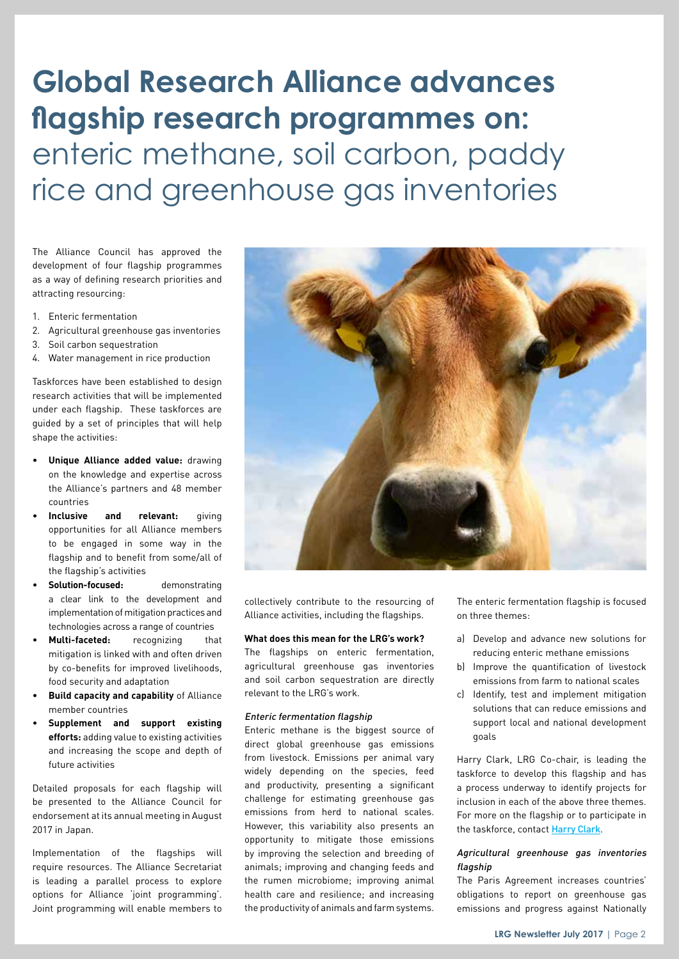# **Global Research Alliance advances flagship research programmes on:**  enteric methane, soil carbon, paddy rice and greenhouse gas inventories

The Alliance Council has approved the development of four flagship programmes as a way of defining research priorities and attracting resourcing:

- 1. Enteric fermentation
- 2. Agricultural greenhouse gas inventories
- 3. Soil carbon sequestration
- 4. Water management in rice production

Taskforces have been established to design research activities that will be implemented under each flagship. These taskforces are guided by a set of principles that will help shape the activities:

- **Unique Alliance added value:** drawing on the knowledge and expertise across the Alliance's partners and 48 member countries
- **Inclusive and relevant:** giving opportunities for all Alliance members to be engaged in some way in the flagship and to benefit from some/all of the flagship's activities
- **Solution-focused:** demonstrating a clear link to the development and implementation of mitigation practices and technologies across a range of countries
- **Multi-faceted:** recognizing that mitigation is linked with and often driven by co-benefits for improved livelihoods, food security and adaptation
- **Build capacity and capability** of Alliance member countries
- **Supplement and support existing efforts:** adding value to existing activities and increasing the scope and depth of future activities

Detailed proposals for each flagship will be presented to the Alliance Council for endorsement at its annual meeting in August 2017 in Japan.

Implementation of the flagships will require resources. The Alliance Secretariat is leading a parallel process to explore options for Alliance 'joint programming'. Joint programming will enable members to



collectively contribute to the resourcing of Alliance activities, including the flagships.

#### **What does this mean for the LRG's work?**

The flagships on enteric fermentation, agricultural greenhouse gas inventories and soil carbon sequestration are directly relevant to the LRG's work.

### Enteric fermentation flagship

Enteric methane is the biggest source of direct global greenhouse gas emissions from livestock. Emissions per animal vary widely depending on the species, feed and productivity, presenting a significant challenge for estimating greenhouse gas emissions from herd to national scales. However, this variability also presents an opportunity to mitigate those emissions by improving the selection and breeding of animals; improving and changing feeds and the rumen microbiome; improving animal health care and resilience; and increasing the productivity of animals and farm systems.

The enteric fermentation flagship is focused on three themes:

- a) Develop and advance new solutions for reducing enteric methane emissions
- b) Improve the quantification of livestock emissions from farm to national scales
- c) Identify, test and implement mitigation solutions that can reduce emissions and support local and national development goals

Harry Clark, LRG Co-chair, is leading the taskforce to develop this flagship and has a process underway to identify projects for inclusion in each of the above three themes. For more on the flagship or to participate in the taskforce, contact [Harry Clark](mailto:harry.clark%40nzagrc.org.nz?subject=).

### Agricultural greenhouse gas inventories flagship

The Paris Agreement increases countries' obligations to report on greenhouse gas emissions and progress against Nationally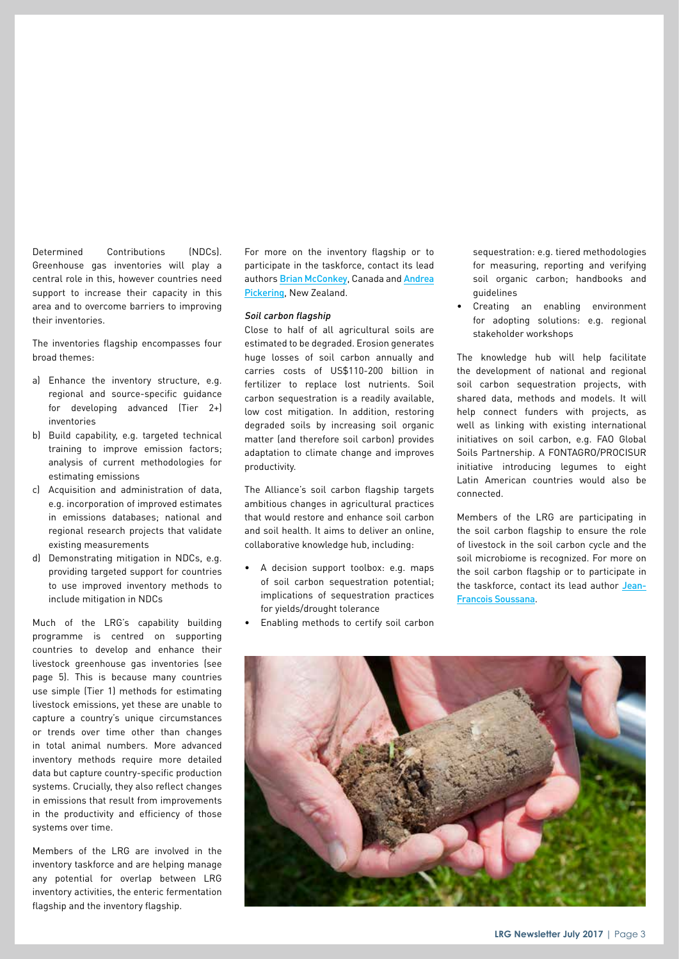Determined Contributions (NDCs). Greenhouse gas inventories will play a central role in this, however countries need support to increase their capacity in this area and to overcome barriers to improving their inventories.

The inventories flagship encompasses four broad themes:

- a) Enhance the inventory structure, e.g. regional and source-specific guidance for developing advanced (Tier 2+) inventories
- b) Build capability, e.g. targeted technical training to improve emission factors; analysis of current methodologies for estimating emissions
- c) Acquisition and administration of data, e.g. incorporation of improved estimates in emissions databases; national and regional research projects that validate existing measurements
- d) Demonstrating mitigation in NDCs, e.g. providing targeted support for countries to use improved inventory methods to include mitigation in NDCs

Much of the LRG's capability building programme is centred on supporting countries to develop and enhance their livestock greenhouse gas inventories (see page 5). This is because many countries use simple (Tier 1) methods for estimating livestock emissions, yet these are unable to capture a country's unique circumstances or trends over time other than changes in total animal numbers. More advanced inventory methods require more detailed data but capture country-specific production systems. Crucially, they also reflect changes in emissions that result from improvements in the productivity and efficiency of those systems over time.

Members of the LRG are involved in the inventory taskforce and are helping manage any potential for overlap between LRG inventory activities, the enteric fermentation flagship and the inventory flagship.

For more on the inventory flagship or to participate in the taskforce, contact its lead authors [Brian McConkey](mailto:brian.mcconkey%40agr.gc.ca?subject=), Canada and Andrea [Pickering](mailto:andrea.pickering%40mpi.govt.nz?subject=), New Zealand.

### Soil carbon flagship

Close to half of all agricultural soils are estimated to be degraded. Erosion generates huge losses of soil carbon annually and carries costs of US\$110-200 billion in fertilizer to replace lost nutrients. Soil carbon sequestration is a readily available, low cost mitigation. In addition, restoring degraded soils by increasing soil organic matter (and therefore soil carbon) provides adaptation to climate change and improves productivity.

The Alliance's soil carbon flagship targets ambitious changes in agricultural practices that would restore and enhance soil carbon and soil health. It aims to deliver an online, collaborative knowledge hub, including:

- A decision support toolbox: e.g. maps of soil carbon sequestration potential; implications of sequestration practices for yields/drought tolerance
- Enabling methods to certify soil carbon

sequestration: e.g. tiered methodologies for measuring, reporting and verifying soil organic carbon; handbooks and guidelines

• Creating an enabling environment for adopting solutions: e.g. regional stakeholder workshops

The knowledge hub will help facilitate the development of national and regional soil carbon sequestration projects, with shared data, methods and models. It will help connect funders with projects, as well as linking with existing international initiatives on soil carbon, e.g. FAO Global Soils Partnership. A FONTAGRO/PROCISUR initiative introducing legumes to eight Latin American countries would also be connected.

Members of the LRG are participating in the soil carbon flagship to ensure the role of livestock in the soil carbon cycle and the soil microbiome is recognized. For more on the soil carbon flagship or to participate in the taskforce, contact its lead author [Jean-](mailto:Jean-Francois.Soussana%40paris.inra.fr?subject=)[Francois Soussana](mailto:Jean-Francois.Soussana%40paris.inra.fr?subject=).

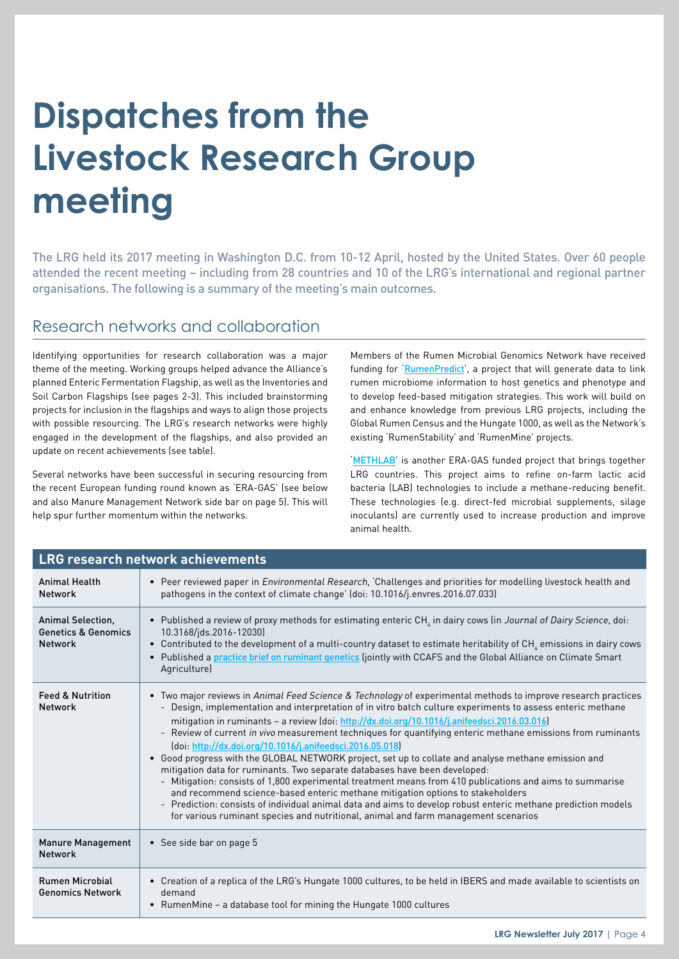# **Dispatches from the Livestock Research Group meeting**

The LRG held its 2017 meeting in Washington D.C. from 10-12 April, hosted by the United States. Over 60 people attended the recent meeting – including from 28 countries and 10 of the LRG's international and regional partner organisations. The following is a summary of the meeting's main outcomes.

### Research networks and collaboration

Identifying opportunities for research collaboration was a major theme of the meeting. Working groups helped advance the Alliance's planned Enteric Fermentation Flagship, as well as the Inventories and Soil Carbon Flagships (see pages 2-3). This included brainstorming projects for inclusion in the flagships and ways to align those projects with possible resourcing. The LRG's research networks were highly engaged in the development of the flagships, and also provided an update on recent achievements (see table).

Several networks have been successful in securing resourcing from the recent European funding round known as 'ERA-GAS' (see below and also Manure Management Network side bar on page 5). This will help spur further momentum within the networks.

Members of the Rumen Microbial Genomics Network have received funding for '[RumenPredict](http://www.eragas.eu/index.php/research-projects/rumenpredict)', a project that will generate data to link rumen microbiome information to host genetics and phenotype and to develop feed-based mitigation strategies. This work will build on and enhance knowledge from previous LRG projects, including the Global Rumen Census and the Hungate 1000, as well as the Network's existing 'RumenStability' and 'RumenMine' projects.

'[METHLAB](http://www.eragas.eu/index.php/research-projects/methlab)' is another ERA-GAS funded project that brings together LRG countries. This project aims to refine on-farm lactic acid bacteria (LAB) technologies to include a methane-reducing benefit. These technologies (e.g. direct-fed microbial supplements, silage inoculants) are currently used to increase production and improve animal health.

| <b>LRG research network achievements</b>                              |                                                                                                                                                                                                                                                                                                                                                                                                                                                                                                                                                                                                                                                                                                                                                                                                                                                                                                                                                                                                                                                                                                  |  |
|-----------------------------------------------------------------------|--------------------------------------------------------------------------------------------------------------------------------------------------------------------------------------------------------------------------------------------------------------------------------------------------------------------------------------------------------------------------------------------------------------------------------------------------------------------------------------------------------------------------------------------------------------------------------------------------------------------------------------------------------------------------------------------------------------------------------------------------------------------------------------------------------------------------------------------------------------------------------------------------------------------------------------------------------------------------------------------------------------------------------------------------------------------------------------------------|--|
| <b>Animal Health</b><br><b>Network</b>                                | • Peer reviewed paper in Environmental Research, Challenges and priorities for modelling livestock health and<br>pathogens in the context of climate change' (doi: 10.1016/j.envres.2016.07.033)                                                                                                                                                                                                                                                                                                                                                                                                                                                                                                                                                                                                                                                                                                                                                                                                                                                                                                 |  |
| Animal Selection,<br><b>Genetics &amp; Genomics</b><br><b>Network</b> | • Published a review of proxy methods for estimating enteric CH <sub>i</sub> in dairy cows (in Journal of Dairy Science, doi:<br>10.3168/jds.2016-12030)<br>• Contributed to the development of a multi-country dataset to estimate heritability of CH <sub>4</sub> emissions in dairy cows<br>• Published a practice brief on ruminant genetics (jointly with CCAFS and the Global Alliance on Climate Smart<br>Agriculture)                                                                                                                                                                                                                                                                                                                                                                                                                                                                                                                                                                                                                                                                    |  |
| <b>Feed &amp; Nutrition</b><br><b>Network</b>                         | • Two major reviews in Animal Feed Science & Technology of experimental methods to improve research practices<br>Design, implementation and interpretation of in vitro batch culture experiments to assess enteric methane<br>mitigation in ruminants - a review (doi: http://dx.doi.org/10.1016/j.anifeedsci.2016.03.016)<br>- Review of current in vivo measurement techniques for quantifying enteric methane emissions from ruminants<br>(doi: http://dx.doi.org/10.1016/j.anifeedsci.2016.05.018)<br>• Good progress with the GLOBAL NETWORK project, set up to collate and analyse methane emission and<br>mitigation data for ruminants. Two separate databases have been developed:<br>- Mitigation: consists of 1,800 experimental treatment means from 410 publications and aims to summarise<br>and recommend science-based enteric methane mitigation options to stakeholders<br>- Prediction: consists of individual animal data and aims to develop robust enteric methane prediction models<br>for various ruminant species and nutritional, animal and farm management scenarios |  |
| <b>Manure Management</b><br><b>Network</b>                            | • See side bar on page 5                                                                                                                                                                                                                                                                                                                                                                                                                                                                                                                                                                                                                                                                                                                                                                                                                                                                                                                                                                                                                                                                         |  |
| <b>Rumen Microbial</b><br><b>Genomics Network</b>                     | • Creation of a replica of the LRG's Hungate 1000 cultures, to be held in IBERS and made available to scientists on<br>demand<br>• RumenMine - a database tool for mining the Hungate 1000 cultures                                                                                                                                                                                                                                                                                                                                                                                                                                                                                                                                                                                                                                                                                                                                                                                                                                                                                              |  |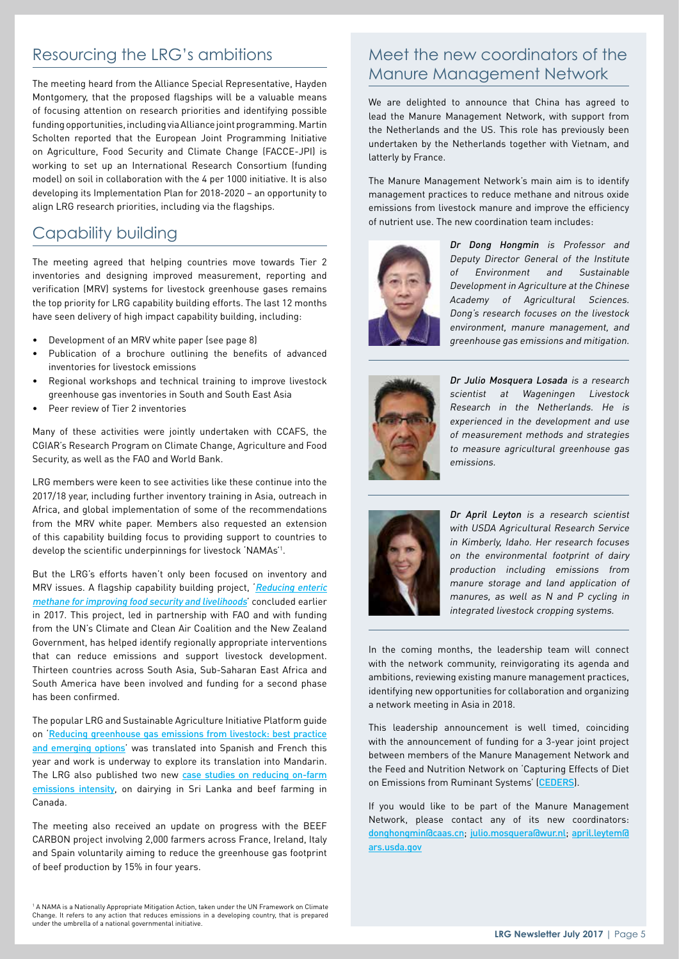## Resourcing the LRG's ambitions

The meeting heard from the Alliance Special Representative, Hayden Montgomery, that the proposed flagships will be a valuable means of focusing attention on research priorities and identifying possible funding opportunities, including via Alliance joint programming. Martin Scholten reported that the European Joint Programming Initiative on Agriculture, Food Security and Climate Change (FACCE-JPI) is working to set up an International Research Consortium (funding model) on soil in collaboration with the 4 per 1000 initiative. It is also developing its Implementation Plan for 2018-2020 – an opportunity to align LRG research priorities, including via the flagships.

### Capability building

The meeting agreed that helping countries move towards Tier 2 inventories and designing improved measurement, reporting and verification (MRV) systems for livestock greenhouse gases remains the top priority for LRG capability building efforts. The last 12 months have seen delivery of high impact capability building, including:

- Development of an MRV white paper (see page 8)
- Publication of a brochure outlining the benefits of advanced inventories for livestock emissions
- Regional workshops and technical training to improve livestock greenhouse gas inventories in South and South East Asia
- Peer review of Tier 2 inventories

Many of these activities were jointly undertaken with CCAFS, the CGIAR's Research Program on Climate Change, Agriculture and Food Security, as well as the FAO and World Bank.

LRG members were keen to see activities like these continue into the 2017/18 year, including further inventory training in Asia, outreach in Africa, and global implementation of some of the recommendations from the MRV white paper. Members also requested an extension of this capability building focus to providing support to countries to develop the scientific underpinnings for livestock 'NAMAs'1 .

But the LRG's efforts haven't only been focused on inventory and MRV issues. A flagship capability building project, Reducing enteric [methane for improving food security and livelihoods](http://www.fao.org/in-action/enteric-methane/en/)' concluded earlier in 2017. This project, led in partnership with FAO and with funding from the UN's Climate and Clean Air Coalition and the New Zealand Government, has helped identify regionally appropriate interventions that can reduce emissions and support livestock development. Thirteen countries across South Asia, Sub-Saharan East Africa and South America have been involved and funding for a second phase has been confirmed.

The popular LRG and Sustainable Agriculture Initiative Platform guide on '[Reducing greenhouse gas emissions from livestock: best practice](http://globalresearchalliance.org/library/livestock-emissions-best-practice-and-emerging-options/)  [and emerging options](http://globalresearchalliance.org/library/livestock-emissions-best-practice-and-emerging-options/)' was translated into Spanish and French this year and work is underway to explore its translation into Mandarin. The LRG also published two new case studies on reducing on-farm [emissions intensity](http://globalresearchalliance.org/research/livestock/capability-building/success-stories/), on dairying in Sri Lanka and beef farming in Canada.

The meeting also received an update on progress with the BEEF CARBON project involving 2,000 farmers across France, Ireland, Italy and Spain voluntarily aiming to reduce the greenhouse gas footprint of beef production by 15% in four years.

## Meet the new coordinators of the Manure Management Network

We are delighted to announce that China has agreed to lead the Manure Management Network, with support from the Netherlands and the US. This role has previously been undertaken by the Netherlands together with Vietnam, and latterly by France.

The Manure Management Network's main aim is to identify management practices to reduce methane and nitrous oxide emissions from livestock manure and improve the efficiency of nutrient use. The new coordination team includes:



Dr Dong Hongmin is Professor and Deputy Director General of the Institute of Environment and Sustainable Development in Agriculture at the Chinese Academy of Agricultural Sciences. Dong's research focuses on the livestock environment, manure management, and greenhouse gas emissions and mitigation.



Dr Julio Mosquera Losada is a research scientist at Wageningen Livestock Research in the Netherlands. He is experienced in the development and use of measurement methods and strategies to measure agricultural greenhouse gas emissions.



Dr April Leyton is a research scientist with USDA Agricultural Research Service in Kimberly, Idaho. Her research focuses on the environmental footprint of dairy production including emissions from manure storage and land application of manures, as well as N and P cycling in integrated livestock cropping systems.

In the coming months, the leadership team will connect with the network community, reinvigorating its agenda and ambitions, reviewing existing manure management practices, identifying new opportunities for collaboration and organizing a network meeting in Asia in 2018.

This leadership announcement is well timed, coinciding with the announcement of funding for a 3-year joint project between members of the Manure Management Network and the Feed and Nutrition Network on 'Capturing Effects of Diet on Emissions from Ruminant Systems' ([CEDERS](http://www.eragas.eu/index.php/research-projects/ceders)).

If you would like to be part of the Manure Management Network, please contact any of its new coordinators: [donghongmin@caas.cn](mailto:donghongmin%40caas.cn?subject=); [julio.mosquera@wur.nl](mailto:julio.mosquera%40wur.nl?subject=); [april.leytem@](mailto:april.leytem%40ars.usda.gov?subject=) [ars.usda.gov](mailto:april.leytem%40ars.usda.gov?subject=)

1 A NAMA is a Nationally Appropriate Mitigation Action, taken under the UN Framework on Climate Change. It refers to any action that reduces emissions in a developing country, that is prepared under the umbrella of a national governmental initiative.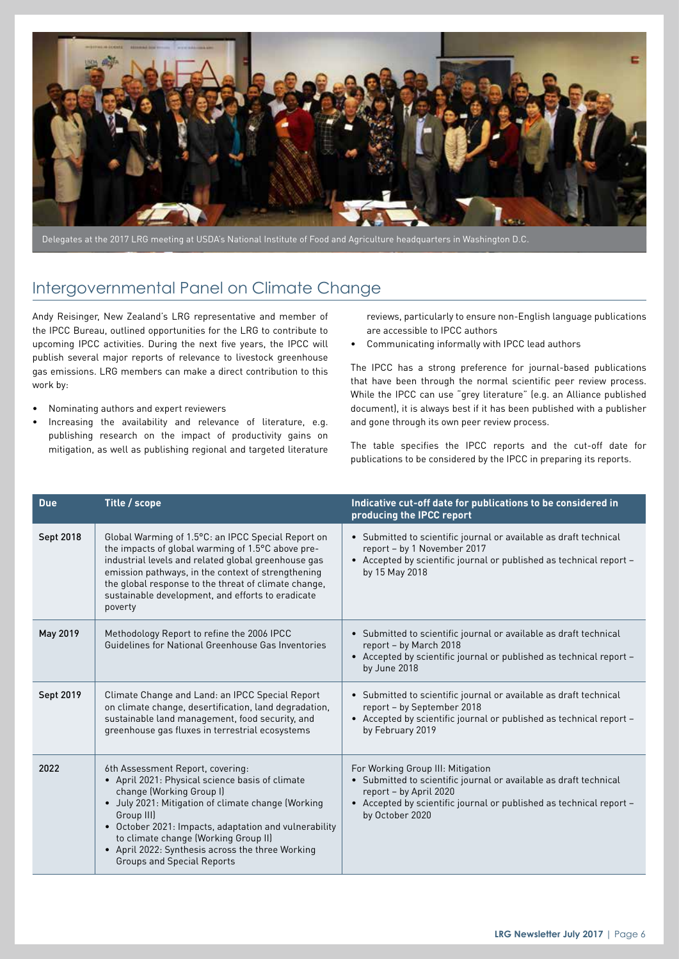

Delegates at the 2017 LRG meeting at USDA's National Institute of Food and Agriculture headquarters in Washington D.C.

### Intergovernmental Panel on Climate Change

Andy Reisinger, New Zealand's LRG representative and member of the IPCC Bureau, outlined opportunities for the LRG to contribute to upcoming IPCC activities. During the next five years, the IPCC will publish several major reports of relevance to livestock greenhouse gas emissions. LRG members can make a direct contribution to this work by:

- Nominating authors and expert reviewers
- Increasing the availability and relevance of literature, e.g. publishing research on the impact of productivity gains on mitigation, as well as publishing regional and targeted literature

reviews, particularly to ensure non-English language publications are accessible to IPCC authors

• Communicating informally with IPCC lead authors

The IPCC has a strong preference for journal-based publications that have been through the normal scientific peer review process. While the IPCC can use "grey literature" (e.g. an Alliance published document), it is always best if it has been published with a publisher and gone through its own peer review process.

The table specifies the IPCC reports and the cut-off date for publications to be considered by the IPCC in preparing its reports.

| <b>Due</b> | Title / scope                                                                                                                                                                                                                                                                                                                                                                 | Indicative cut-off date for publications to be considered in<br>producing the IPCC report                                                                                                                                  |
|------------|-------------------------------------------------------------------------------------------------------------------------------------------------------------------------------------------------------------------------------------------------------------------------------------------------------------------------------------------------------------------------------|----------------------------------------------------------------------------------------------------------------------------------------------------------------------------------------------------------------------------|
| Sept 2018  | Global Warming of 1.5°C: an IPCC Special Report on<br>the impacts of global warming of 1.5°C above pre-<br>industrial levels and related global greenhouse gas<br>emission pathways, in the context of strengthening<br>the global response to the threat of climate change,<br>sustainable development, and efforts to eradicate<br>poverty                                  | • Submitted to scientific journal or available as draft technical<br>report - by 1 November 2017<br>• Accepted by scientific journal or published as technical report -<br>by 15 May 2018                                  |
| May 2019   | Methodology Report to refine the 2006 IPCC<br>Guidelines for National Greenhouse Gas Inventories                                                                                                                                                                                                                                                                              | • Submitted to scientific journal or available as draft technical<br>report - by March 2018<br>• Accepted by scientific journal or published as technical report -<br>by June 2018                                         |
| Sept 2019  | Climate Change and Land: an IPCC Special Report<br>on climate change, desertification, land degradation,<br>sustainable land management, food security, and<br>greenhouse gas fluxes in terrestrial ecosystems                                                                                                                                                                | • Submitted to scientific journal or available as draft technical<br>report - by September 2018<br>• Accepted by scientific journal or published as technical report -<br>by February 2019                                 |
| 2022       | 6th Assessment Report, covering:<br>• April 2021: Physical science basis of climate<br>change (Working Group I)<br>• July 2021: Mitigation of climate change (Working<br>Group III)<br>• October 2021: Impacts, adaptation and vulnerability<br>to climate change (Working Group II)<br>• April 2022: Synthesis across the three Working<br><b>Groups and Special Reports</b> | For Working Group III: Mitigation<br>• Submitted to scientific journal or available as draft technical<br>report - by April 2020<br>• Accepted by scientific journal or published as technical report -<br>by October 2020 |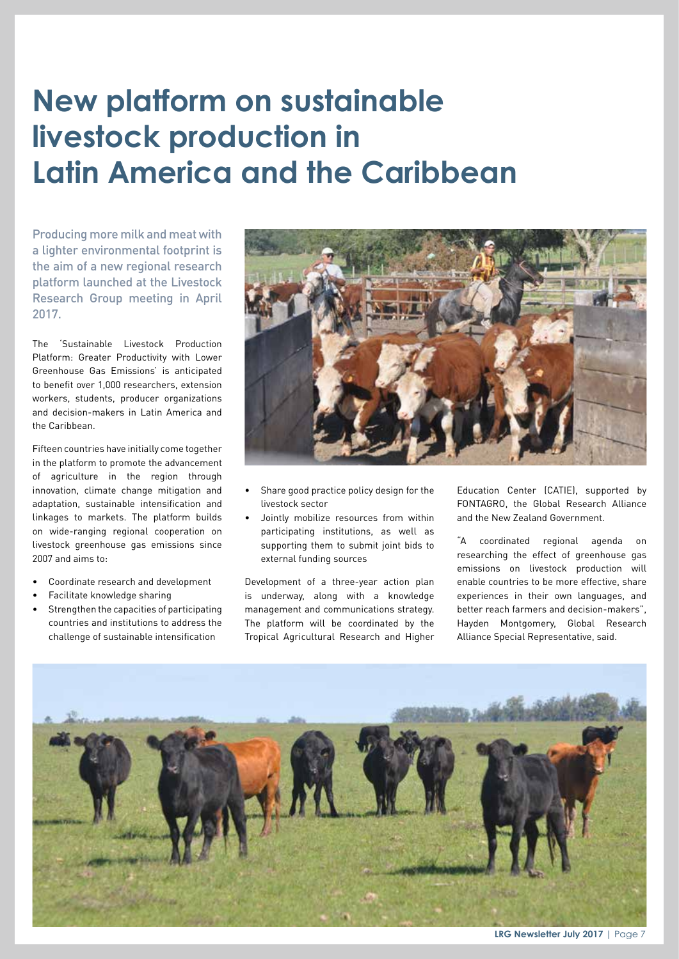# **New platform on sustainable livestock production in Latin America and the Caribbean**

Producing more milk and meat with a lighter environmental footprint is the aim of a new regional research platform launched at the Livestock Research Group meeting in April 2017.

The 'Sustainable Livestock Production Platform: Greater Productivity with Lower Greenhouse Gas Emissions' is anticipated to benefit over 1,000 researchers, extension workers, students, producer organizations and decision-makers in Latin America and the Caribbean.

Fifteen countries have initially come together in the platform to promote the advancement of agriculture in the region through innovation, climate change mitigation and adaptation, sustainable intensification and linkages to markets. The platform builds on wide-ranging regional cooperation on livestock greenhouse gas emissions since 2007 and aims to:

- Coordinate research and development
- Facilitate knowledge sharing
- Strengthen the capacities of participating countries and institutions to address the challenge of sustainable intensification



- Share good practice policy design for the livestock sector
- Jointly mobilize resources from within participating institutions, as well as supporting them to submit joint bids to external funding sources

Development of a three-year action plan is underway, along with a knowledge management and communications strategy. The platform will be coordinated by the Tropical Agricultural Research and Higher

Education Center (CATIE), supported by FONTAGRO, the Global Research Alliance and the New Zealand Government.

"A coordinated regional agenda on researching the effect of greenhouse gas emissions on livestock production will enable countries to be more effective, share experiences in their own languages, and better reach farmers and decision-makers", Hayden Montgomery, Global Research Alliance Special Representative, said.



**LRG Newsletter July 2017** | Page 7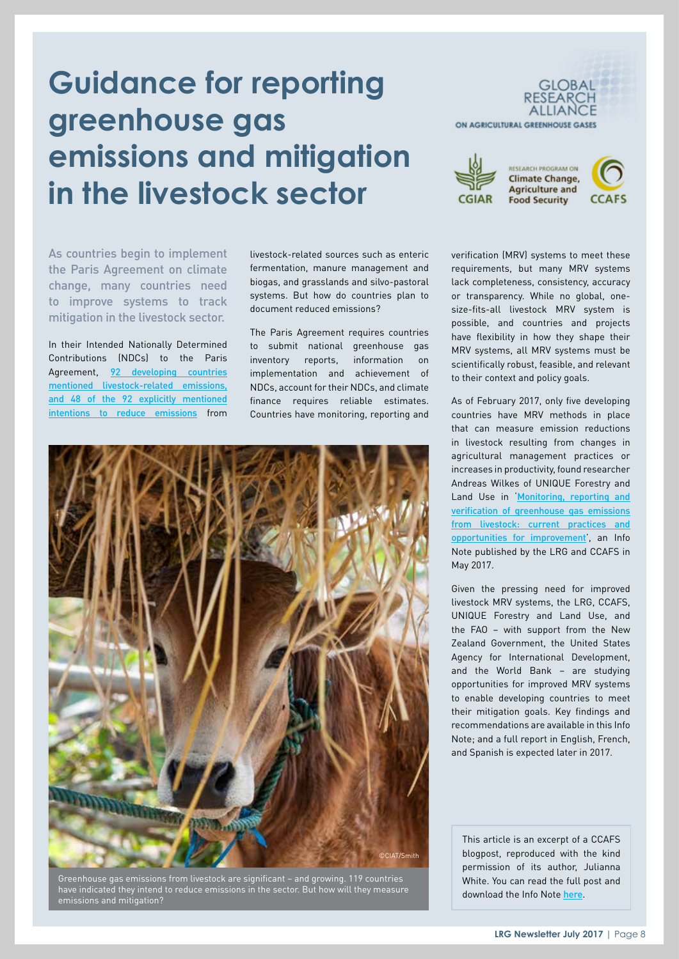## **Guidance for reporting greenhouse gas emissions and mitigation in the livestock sector**



In their Intended Nationally Determined Contributions (NDCs) to the Paris Agreement, [92 developing countries](https://ccafs.cgiar.org/agricultures-prominence-indcs-data-and-maps#.WVB7vROGPUZ) [mentioned livestock-related emissions,](https://ccafs.cgiar.org/agricultures-prominence-indcs-data-and-maps#.WVB7vROGPUZ) [and 48 of the 92 explicitly mentioned](https://ccafs.cgiar.org/agricultures-prominence-indcs-data-and-maps#.WVB7vROGPUZ) [intentions to reduce emissions](https://ccafs.cgiar.org/agricultures-prominence-indcs-data-and-maps#.WVB7vROGPUZ) from livestock-related sources such as enteric fermentation, manure management and biogas, and grasslands and silvo-pastoral systems. But how do countries plan to document reduced emissions?

The Paris Agreement requires countries to submit national greenhouse gas inventory reports, information on implementation and achievement of NDCs, account for their NDCs, and climate finance requires reliable estimates. Countries have monitoring, reporting and



Greenhouse gas emissions from livestock are significant – and growing. 119 countries have indicated they intend to reduce emissions in the sector. But how will they measure emissions and mitigation?





**ESEARCH PROGRAM ON Climate Change, Agriculture and Food Security** 



verification (MRV) systems to meet these requirements, but many MRV systems lack completeness, consistency, accuracy or transparency. While no global, onesize-fits-all livestock MRV system is possible, and countries and projects have flexibility in how they shape their MRV systems, all MRV systems must be scientifically robust, feasible, and relevant to their context and policy goals.

As of February 2017, only five developing countries have MRV methods in place that can measure emission reductions in livestock resulting from changes in agricultural management practices or increases in productivity, found researcher Andreas Wilkes of UNIQUE Forestry and Land Use in Monitoring, reporting and [verification of greenhouse gas emissions](https://cgspace.cgiar.org/bitstream/handle/10568/80890/Livestock%20MRV%20Info%20Note%20May%203%202017.pdf?sequence=6&isAllowed=y)  [from livestock: current practices and](https://cgspace.cgiar.org/bitstream/handle/10568/80890/Livestock%20MRV%20Info%20Note%20May%203%202017.pdf?sequence=6&isAllowed=y)  [opportunities for improvement](https://cgspace.cgiar.org/bitstream/handle/10568/80890/Livestock%20MRV%20Info%20Note%20May%203%202017.pdf?sequence=6&isAllowed=y)', an Info Note published by the LRG and CCAFS in May 2017.

Given the pressing need for improved livestock MRV systems, the LRG, CCAFS, UNIQUE Forestry and Land Use, and the FAO – with support from the New Zealand Government, the United States Agency for International Development, and the World Bank – are studying opportunities for improved MRV systems to enable developing countries to meet their mitigation goals. Key findings and recommendations are available in this Info Note; and a full report in English, French, and Spanish is expected later in 2017.

This article is an excerpt of a CCAFS blogpost, reproduced with the kind permission of its author, Julianna White. You can read the full post and download the Info Note [here](https://ccafs.cgiar.org/blog/guidance-national-and-activity-level-reporting-greenhouse-gas-emissions-and-mitigation#.WVB78xOGPUZ).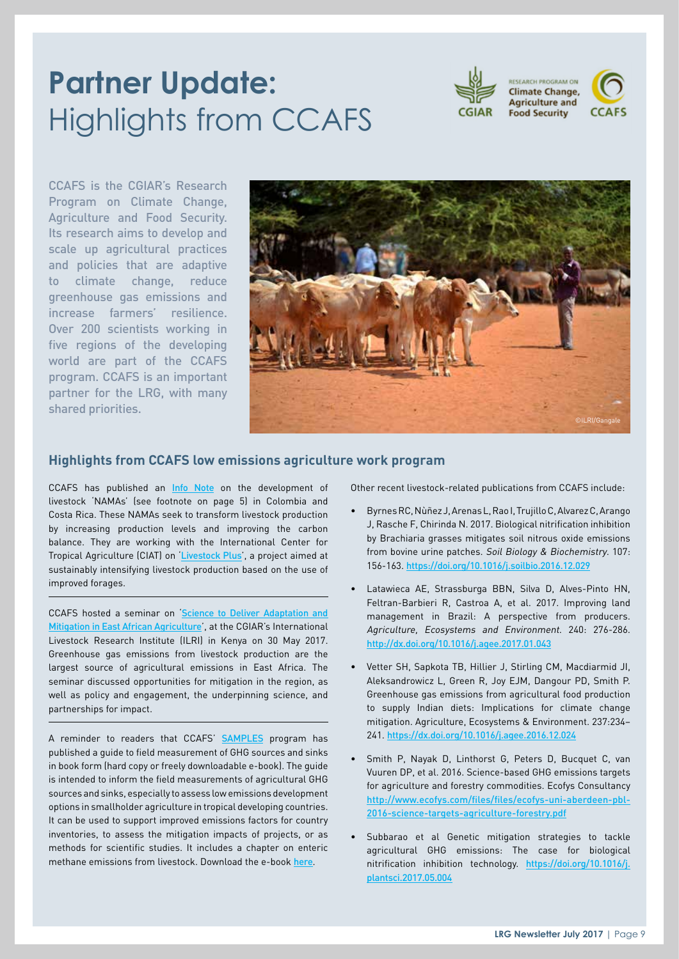# **Partner Update:**  Highlights from CCAFS



CCAFS is the CGIAR's Research Program on Climate Change, Agriculture and Food Security. Its research aims to develop and scale up agricultural practices and policies that are adaptive to climate change, reduce greenhouse gas emissions and increase farmers' resilience. Over 200 scientists working in five regions of the developing world are part of the CCAFS program. CCAFS is an important partner for the LRG, with many shared priorities.



### **Highlights from CCAFS low emissions agriculture work program**

CCAFS has published an [Info Note](https://cgspace.cgiar.org/rest/bitstreams/114647/retrieve) on the development of livestock 'NAMAs' (see footnote on page 5) in Colombia and Costa Rica. These NAMAs seek to transform livestock production by increasing production levels and improving the carbon balance. They are working with the International Center for Tropical Agriculture (CIAT) on '[Livestock Plus](https://ccafs.cgiar.org/supporting-low-emissions-development-latin-american-cattle-sector-livestockplus#.WVmXWTOB3xV)', a project aimed at sustainably intensifying livestock production based on the use of improved forages.

CCAFS hosted a seminar on **Science to Deliver Adaptation and** [Mitigation in East African Agriculture](https://ccafs.cgiar.org/blog/whats-state-climate-adaptation-and-mitigation-efforts-african-agriculture#.WUsF7jOB3xV)', at the CGIAR's International Livestock Research Institute (ILRI) in Kenya on 30 May 2017. Greenhouse gas emissions from livestock production are the largest source of agricultural emissions in East Africa. The seminar discussed opportunities for mitigation in the region, as well as policy and engagement, the underpinning science, and partnerships for impact.

A reminder to readers that CCAFS' [SAMPLES](http://samples.ccafs.cgiar.org/) program has published a guide to field measurement of GHG sources and sinks in book form (hard copy or freely downloadable e-book). The guide is intended to inform the field measurements of agricultural GHG sources and sinks, especially to assess low emissions development options in smallholder agriculture in tropical developing countries. It can be used to support improved emissions factors for country inventories, to assess the mitigation impacts of projects, or as methods for scientific studies. It includes a chapter on enteric methane emissions from livestock. Download the e-book [here](https://link.springer.com/book/10.1007/978-3-319-29794-1).

Other recent livestock-related publications from CCAFS include:

- Byrnes RC, Nùñez J, Arenas L, Rao I, Trujillo C, Alvarez C, Arango J, Rasche F, Chirinda N. 2017. Biological nitrification inhibition by Brachiaria grasses mitigates soil nitrous oxide emissions from bovine urine patches. Soil Biology & Biochemistry. 107: 156-163. <https://doi.org/10.1016/j.soilbio.2016.12.029>
- Latawieca AE, Strassburga BBN, Silva D, Alves-Pinto HN, Feltran-Barbieri R, Castroa A, et al. 2017. Improving land management in Brazil: A perspective from producers. Agriculture, Ecosystems and Environment. 240: 276-286. <http://dx.doi.org/10.1016/j.agee.2017.01.043>
- Vetter SH, Sapkota TB, Hillier J, Stirling CM, Macdiarmid JI, Aleksandrowicz L, Green R, Joy EJM, Dangour PD, Smith P. Greenhouse gas emissions from agricultural food production to supply Indian diets: Implications for climate change mitigation. Agriculture, Ecosystems & Environment. 237:234– 241. <https://dx.doi.org/10.1016/j.agee.2016.12.024>
- Smith P, Nayak D, Linthorst G, Peters D, Bucquet C, van Vuuren DP, et al. 2016. Science-based GHG emissions targets for agriculture and forestry commodities. Ecofys Consultancy [http://www.ecofys.com/files/files/ecofys-uni-aberdeen-pbl-](http://www.ecofys.com/files/files/ecofys-uni-aberdeen-pbl-2016-science-targets-agriculture-forestry.pdf)2016-science-targets-agriculture-forestry.pdf
- Subbarao et al Genetic mitigation strategies to tackle agricultural GHG emissions: The case for biological nitrification inhibition technology. [https://doi.org/10.1016/j.](https://doi.org/10.1016/j.plantsci.2017.05.004) [plantsci.2017.05.004](https://doi.org/10.1016/j.plantsci.2017.05.004)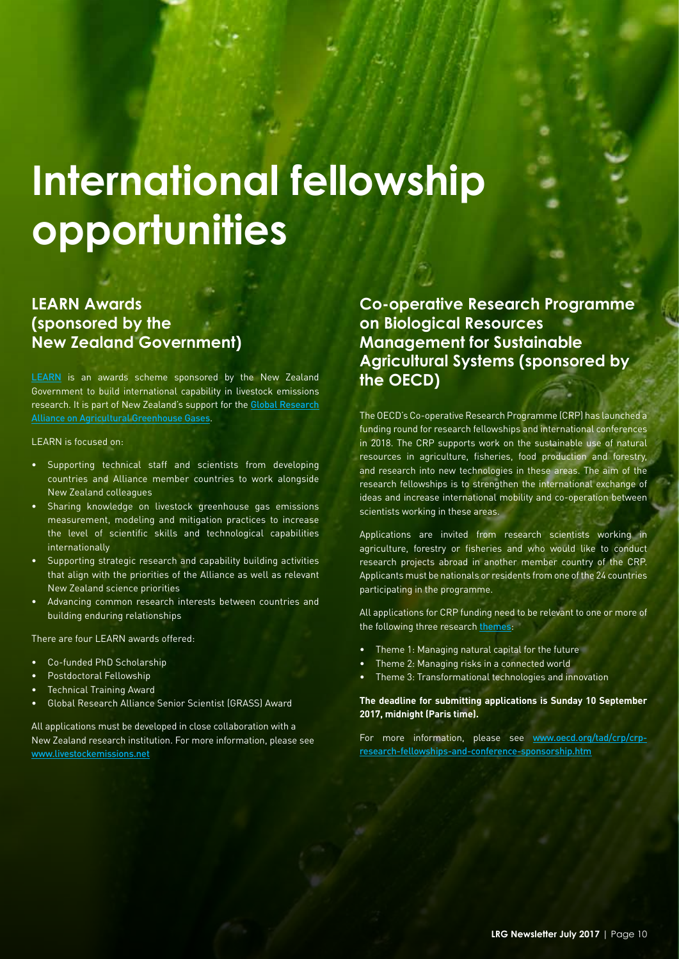# **International fellowship opportunities**

### **LEARN Awards (sponsored by the New Zealand Government)**

[LEARN](https://livestockemissions.net/) is an awards scheme sponsored by the New Zealand Government to build international capability in livestock emissions research. It is part of New Zealand's support for the [Global Research](http://globalresearchalliance.org/)  [Alliance on Agricultural Greenhouse Gases](http://globalresearchalliance.org/).

LEARN is focused on:

- Supporting technical staff and scientists from developing countries and Alliance member countries to work alongside New Zealand colleagues
- Sharing knowledge on livestock greenhouse gas emissions measurement, modeling and mitigation practices to increase the level of scientific skills and technological capabilities internationally
- Supporting strategic research and capability building activities that align with the priorities of the Alliance as well as relevant New Zealand science priorities
- Advancing common research interests between countries and building enduring relationships

There are four LEARN awards offered:

- Co-funded PhD Scholarship
- Postdoctoral Fellowship
- **Technical Training Award**
- Global Research Alliance Senior Scientist (GRASS) Award

All applications must be developed in close collaboration with a New Zealand research institution. For more information, please see [www.livestockemissions.net](http://www.livestockemissions.net)

**Co-operative Research Programme on Biological Resources Management for Sustainable Agricultural Systems (sponsored by the OECD)**

The OECD's Co-operative Research Programme (CRP) has launched a funding round for research fellowships and international conferences in 2018. The CRP supports work on the sustainable use of natural resources in agriculture, fisheries, food production and forestry, and research into new technologies in these areas. The aim of the research fellowships is to strengthen the international exchange of ideas and increase international mobility and co-operation between scientists working in these areas.

Applications are invited from research scientists working in agriculture, forestry or fisheries and who would like to conduct research projects abroad in another member country of the CRP. Applicants must be nationals or residents from one of the 24 countries participating in the programme.

All applications for CRP funding need to be relevant to one or more of the following three research [themes](http://www.oecd.org/tad/crp/CRP_Research_Themes_2016-2020.pdf):

- Theme 1: Managing natural capital for the future
- Theme 2: Managing risks in a connected world
- Theme 3: Transformational technologies and innovation

**The deadline for submitting applications is Sunday 10 September 2017, midnight (Paris time).** 

For more information, please see [www.oecd.org/tad/crp/crp](http://www.oecd.org/tad/crp/crp-research-fellowships-and-conference-sponsorship.htm)[research-fellowships-and-conference-sponsorship.htm](http://www.oecd.org/tad/crp/crp-research-fellowships-and-conference-sponsorship.htm)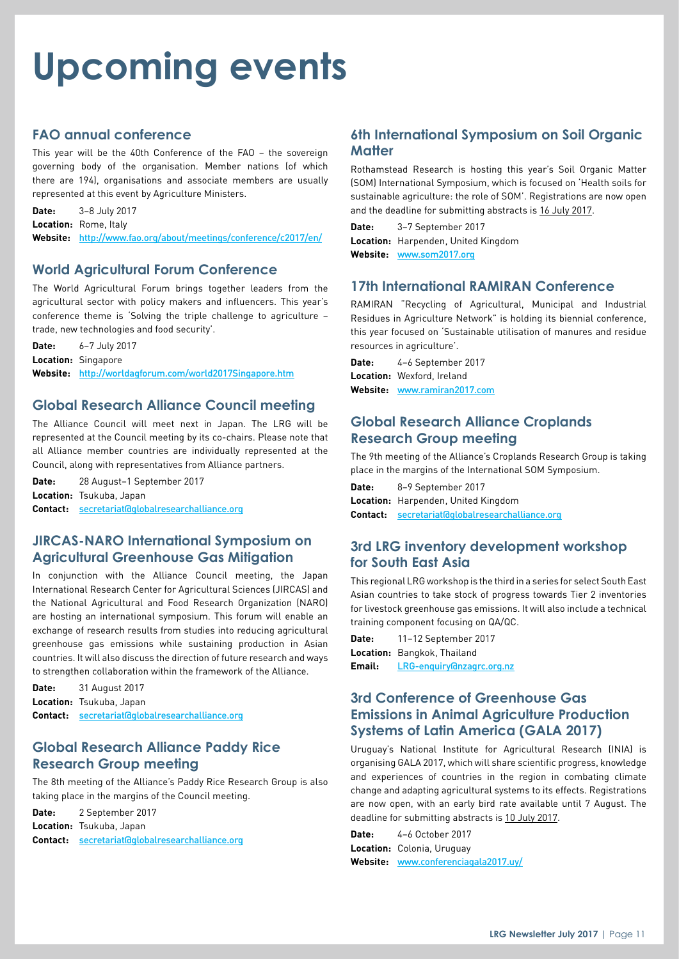# **Upcoming events**

### **FAO annual conference**

This year will be the 40th Conference of the FAO – the sovereign governing body of the organisation. Member nations (of which there are 194), organisations and associate members are usually represented at this event by Agriculture Ministers.

**Date:** 3–8 July 2017 Location: Rome Italy **Website:** <http://www.fao.org/about/meetings/conference/c2017/en/>

### **World Agricultural Forum Conference**

The World Agricultural Forum brings together leaders from the agricultural sector with policy makers and influencers. This year's conference theme is 'Solving the triple challenge to agriculture – trade, new technologies and food security'.

**Date:** 6–7 July 2017 **Location:** Singapore **Website:** <http://worldagforum.com/world2017Singapore.htm>

### **Global Research Alliance Council meeting**

The Alliance Council will meet next in Japan. The LRG will be represented at the Council meeting by its co-chairs. Please note that all Alliance member countries are individually represented at the Council, along with representatives from Alliance partners.

**Date:** 28 August–1 September 2017 **Location:** Tsukuba, Japan **Contact:** [secretariat@globalresearchalliance.org](mailto:secretariat%40globalresearchalliance.org?subject=)

### **JIRCAS-NARO International Symposium on Agricultural Greenhouse Gas Mitigation**

In conjunction with the Alliance Council meeting, the Japan International Research Center for Agricultural Sciences (JIRCAS) and the National Agricultural and Food Research Organization (NARO) are hosting an international symposium. This forum will enable an exchange of research results from studies into reducing agricultural greenhouse gas emissions while sustaining production in Asian countries. It will also discuss the direction of future research and ways to strengthen collaboration within the framework of the Alliance.

**Date:** 31 August 2017 **Location:** Tsukuba, Japan **Contact:** [secretariat@globalresearchalliance.org](mailto:secretariat%40globalresearchalliance.org?subject=)

### **Global Research Alliance Paddy Rice Research Group meeting**

The 8th meeting of the Alliance's Paddy Rice Research Group is also taking place in the margins of the Council meeting.

**Date:** 2 September 2017 **Location:** Tsukuba, Japan **Contact:** [secretariat@globalresearchalliance.org](mailto:secretariat%40globalresearchalliance.org?subject=)

### **6th International Symposium on Soil Organic Matter**

Rothamstead Research is hosting this year's Soil Organic Matter (SOM) International Symposium, which is focused on 'Health soils for sustainable agriculture: the role of SOM'. Registrations are now open and the deadline for submitting abstracts is 16 July 2017.

**Date:** 3–7 September 2017 **Location:** Harpenden, United Kingdom **Website:** [www.som2017.org](http://www.som2017.org)

### **17th International RAMIRAN Conference**

RAMIRAN "Recycling of Agricultural, Municipal and Industrial Residues in Agriculture Network" is holding its biennial conference, this year focused on 'Sustainable utilisation of manures and residue resources in agriculture'.

**Date:** 4–6 September 2017 **Location:** Wexford, Ireland **Website:** [www.ramiran2017.com](http://www.ramiran2017.com)

### **Global Research Alliance Croplands Research Group meeting**

The 9th meeting of the Alliance's Croplands Research Group is taking place in the margins of the International SOM Symposium.

**Date:** 8–9 September 2017 **Location:** Harpenden, United Kingdom **Contact:** [secretariat@globalresearchalliance.org](mailto:secretariat%40globalresearchalliance.org?subject=)

### **3rd LRG inventory development workshop for South East Asia**

This regional LRG workshop is the third in a series for select South East Asian countries to take stock of progress towards Tier 2 inventories for livestock greenhouse gas emissions. It will also include a technical training component focusing on QA/QC.

**Date:** 11–12 September 2017 **Location:** Bangkok, Thailand **Email:** [LRG-enquiry@nzagrc.org.nz](mailto:LRG-enquiry%40nzagrc.org.nz?subject=)

### **3rd Conference of Greenhouse Gas Emissions in Animal Agriculture Production Systems of Latin America (GALA 2017)**

Uruguay's National Institute for Agricultural Research (INIA) is organising GALA 2017, which will share scientific progress, knowledge and experiences of countries in the region in combating climate change and adapting agricultural systems to its effects. Registrations are now open, with an early bird rate available until 7 August. The deadline for submitting abstracts is 10 July 2017.

**Date:** 4–6 October 2017 **Location:** Colonia, Uruguay **Website:** [www.conferenciagala2017.uy/](http://www.conferenciagala2017.uy/)